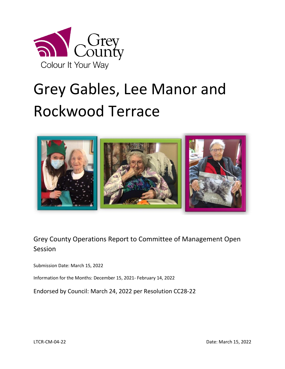

# Grey Gables, Lee Manor and Rockwood Terrace



## Grey County Operations Report to Committee of Management Open Session

Submission Date: March 15, 2022

Information for the Months: December 15, 2021- February 14, 2022

Endorsed by Council: March 24, 2022 per Resolution CC28-22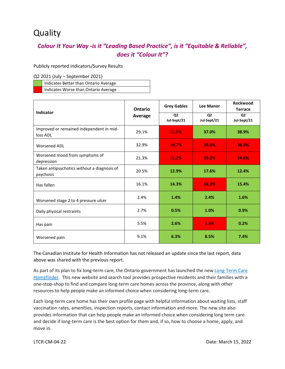# **Quality**

#### *Colour It Your Way -is it "Leading Based Practice", is it "Equitable & Reliable", does it "Colour It"?*

Publicly reported indicators/Survey Results

Q2 2021 (July – September 2021)

| Indicates Better than Ontario Average |
|---------------------------------------|
| Indicates Worse than Ontario Average  |

|                                                          | <b>Ontario</b><br>Average | <b>Grey Gables</b>            | <b>Lee Manor</b>              | <b>Rockwood</b><br><b>Terrace</b> |
|----------------------------------------------------------|---------------------------|-------------------------------|-------------------------------|-----------------------------------|
| Indicator                                                |                           | Q <sub>2</sub><br>Jul-Sept/21 | Q <sub>2</sub><br>Jul-Sept/21 | Q <sub>2</sub><br>Jul-Sept/21     |
| Improved or remained independent in mid-<br>loss ADL     | 29.1%                     | 21.5%                         | 37.0%                         | 38.9%                             |
| <b>Worsened ADL</b>                                      | 32.9%                     | 39.7%                         | 38.0%                         | 36.8%                             |
| Worsened mood from symptoms of<br>depression             | 21.3%                     | 31.2%                         | 29.2%                         | 34.8%                             |
| Taken antipsychotics without a diagnosis of<br>psychosis | 20.5%                     | 12.9%                         | 17.6%                         | 12.4%                             |
| Has fallen                                               | 16.1%                     | 14.3%                         | 18.3%                         | 15.4%                             |
| Worsened stage 2 to 4 pressure ulcer                     | 2.4%                      | 1.4%                          | 2.4%                          | 1.6%                              |
| Daily physical restraints                                | 2.7%                      | 0.5%                          | 1.0%                          | 0.9%                              |
| Has pain                                                 | 5.5%                      | 2.6%                          | 5.9%                          | 0.2%                              |
| Worsened pain                                            | 9.1%                      | 6.3%                          | 8.5%                          | 7.4%                              |

The Canadian Institute for Health Information has not released an update since the last report, data above was shared with the previous report.

As part of its plan to fix long-term care, the Ontario government has launched the new Long-Term Care [Homefinder.](https://www.ontario.ca/page/long-term-care-ontario) This new website and search tool provides prospective residents and their families with a one-stop-shop to find and compare long-term care homes across the province, along with other resources to help people make an informed choice when considering long-term care.

Each long-term care home has their own profile page with helpful information about waiting lists, staff vaccination rates, amenities, inspection reports, contact information and more. The new site also provides information that can help people make an informed choice when considering long term care and decide if long-term care is the best option for them and, if so, how to choose a home, apply, and move in.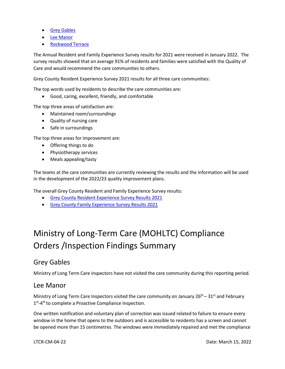- **•** [Grey Gables](https://www.ontario.ca/locations/longtermcare/homes/M606-grey-gables-home-for-the-aged)
- [Lee Manor](https://www.ontario.ca/locations/longtermcare/homes/M549-lee-manor-home)
- [Rockwood Terrace](https://www.ontario.ca/locations/longtermcare/homes/M570-rockwood-terrace-home-for-the-aged)

The Annual Resident and Family Experience Survey results for 2021 were received in January 2022. The survey results showed that on average 91% of residents and families were satisfied with the Quality of Care and would recommend the care communities to others.

Grey County Resident Experience Survey 2021 results for all three care communities:

The top words used by residents to describe the care communities are:

Good, caring, excellent, friendly, and comfortable

The top three areas of satisfaction are:

- Maintained room/surroundings
- Quality of nursing care
- Safe in surroundings

The top three areas for improvement are:

- Offering things to do
- Physiotherapy services
- Meals appealing/tasty

The teams at the care communities are currently reviewing the results and the information will be used in the development of the 2022/23 quality improvement plans.

The overall Grey County Resident and Family Experience Survey results:

- [Grey County Resident Experience Survey Results 2021](https://docs.grey.ca/share/page/site/long-term-care/document-details?nodeRef=workspace://SpacesStore/80f51365-2051-4cbd-9411-75c9329b8699)
- **[Grey County Family Experience Survey Results 2021](https://docs.grey.ca/share/public?nodeRef=workspace://SpacesStore/05d31f30-4023-4c9e-80cd-ac1960f47507)**

# Ministry of Long-Term Care (MOHLTC) Compliance Orders /Inspection Findings Summary

#### Grey Gables

Ministry of Long Term Care inspectors have not visited the care community during this reporting period.

#### Lee Manor

Ministry of Long Term Care Inspectors visited the care community on January  $26<sup>th</sup> - 31<sup>st</sup>$  and February 1<sup>st</sup>-4<sup>th</sup> to complete a Proactive Compliance Inspection.

One written notification and voluntary plan of correction was issued related to failure to ensure every window in the home that opens to the outdoors and is accessible to residents has a screen and cannot be opened more than 15 centimetres. The windows were immediately repaired and met the compliance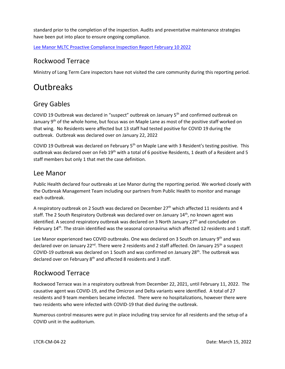standard prior to the completion of the inspection. Audits and preventative maintenance strategies have been put into place to ensure ongoing compliance.

[Lee Manor MLTC Proactive Compliance Inspection Report February 10 2022](http://publicreporting.ltchomes.net/en-ca/File.aspx?RecID=29224&FacilityID=20286)

#### Rockwood Terrace

Ministry of Long Term Care inspectors have not visited the care community during this reporting period.

# **Outbreaks**

#### Grey Gables

COVID 19 Outbreak was declared in "suspect" outbreak on January 5th and confirmed outbreak on January 9<sup>th</sup> of the whole home, but focus was on Maple Lane as most of the positive staff worked on that wing. No Residents were affected but 13 staff had tested positive for COVID 19 during the outbreak. Outbreak was declared over on January 22, 2022

COVID 19 Outbreak was declared on February 5<sup>th</sup> on Maple Lane with 3 Resident's testing positive. This outbreak was declared over on Feb 19<sup>th</sup> with a total of 6 positive Residents, 1 death of a Resident and 5 staff members but only 1 that met the case definition.

#### Lee Manor

Public Health declared four outbreaks at Lee Manor during the reporting period. We worked closely with the Outbreak Management Team including our partners from Public Health to monitor and manage each outbreak.

A respiratory outbreak on 2 South was declared on December  $27<sup>th</sup>$  which affected 11 residents and 4 staff. The 2 South Respiratory Outbreak was declared over on January 14<sup>th</sup>, no known agent was identified. A second respiratory outbreak was declared on 3 North January  $27<sup>th</sup>$  and concluded on February 14<sup>th</sup>. The strain identified was the seasonal coronavirus which affected 12 residents and 1 staff.

Lee Manor experienced two COVID outbreaks. One was declared on 3 South on January  $9<sup>th</sup>$  and was declared over on January 22<sup>nd</sup>. There were 2 residents and 2 staff affected. On January 25<sup>th</sup> a suspect COVID-19 outbreak was declared on 1 South and was confirmed on January 28<sup>th</sup>. The outbreak was declared over on February 8<sup>th</sup> and affected 8 residents and 3 staff.

#### Rockwood Terrace

Rockwood Terrace was in a respiratory outbreak from December 22, 2021, until February 11, 2022. The causative agent was COVID-19, and the Omicron and Delta variants were identified. A total of 27 residents and 9 team members became infected. There were no hospitalizations, however there were two residents who were infected with COVID-19 that died during the outbreak.

Numerous control measures were put in place including tray service for all residents and the setup of a COVID unit in the auditorium.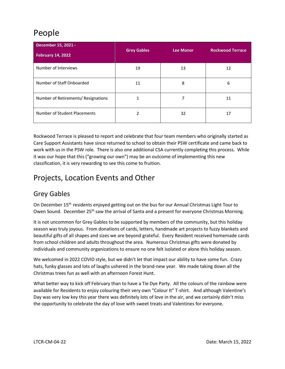# People

| December 15, 2021 -<br><b>February 14, 2022</b> | <b>Grey Gables</b> | <b>Lee Manor</b> | <b>Rockwood Terrace</b> |  |
|-------------------------------------------------|--------------------|------------------|-------------------------|--|
| Number of Interviews                            | 19                 | 13               | 12                      |  |
| Number of Staff Onboarded                       | 11                 | 8                | 6                       |  |
| Number of Retirements/ Resignations             |                    |                  | 11                      |  |
| Number of Student Placements                    |                    | 32               | 17                      |  |

Rockwood Terrace is pleased to report and celebrate that four team members who originally started as Care Support Assistants have since returned to school to obtain their PSW certificate and came back to work with us in the PSW role. There is also one additional CSA currently completing this process. While it was our hope that this ("growing our own") may be an outcome of implementing this new classification, it is very rewarding to see this come to fruition.

# Projects, Location Events and Other

#### Grey Gables

On December 15<sup>th</sup> residents enjoyed getting out on the bus for our Annual Christmas Light Tour to Owen Sound. December 25<sup>th</sup> saw the arrival of Santa and a present for everyone Christmas Morning.

It is not uncommon for Grey Gables to be supported by members of the community, but this holiday season was truly joyous. From donations of cards, letters, handmade art projects to fuzzy blankets and beautiful gifts of all shapes and sizes we are beyond grateful. Every Resident received homemade cards from school children and adults throughout the area. Numerous Christmas gifts were donated by individuals and community organizations to ensure no one felt isolated or alone this holiday season.

We welcomed in 2022 COVID style, but we didn't let that impact our ability to have some fun. Crazy hats, funky glasses and lots of laughs ushered in the brand-new year. We made taking down all the Christmas trees fun as well with an afternoon Forest Hunt.

What better way to kick off February than to have a Tie Dye Party. All the colours of the rainbow were available for Residents to enjoy colouring their very own "Colour It" T-shirt. And although Valentine's Day was very low key this year there was definitely lots of love in the air, and we certainly didn't miss the opportunity to celebrate the day of love with sweet treats and Valentines for everyone.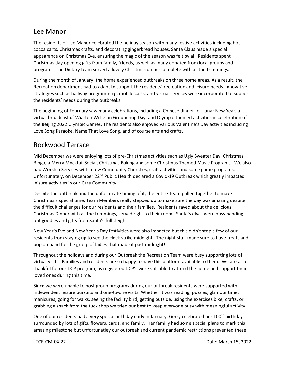#### Lee Manor

The residents of Lee Manor celebrated the holiday season with many festive activities including hot cocoa carts, Christmas crafts, and decorating gingerbread houses. Santa Claus made a special appearance on Christmas Eve, ensuring the magic of the season was felt by all. Residents spent Christmas day opening gifts from family, friends, as well as many donated from local groups and programs. The Dietary team served a lovely Christmas dinner complete with all the trimmings.

During the month of January, the home experienced outbreaks on three home areas. As a result, the Recreation department had to adapt to support the residents' recreation and leisure needs. Innovative strategies such as hallway programming, mobile carts, and virtual services were incorporated to support the residents' needs during the outbreaks.

The beginning of February saw many celebrations, including a Chinese dinner for Lunar New Year, a virtual broadcast of Wiarton Willie on Groundhog Day, and Olympic-themed activities in celebration of the Beijing 2022 Olympic Games. The residents also enjoyed various Valentine's Day activities including Love Song Karaoke, Name That Love Song, and of course arts and crafts.

#### Rockwood Terrace

Mid December we were enjoying lots of pre-Christmas activities such as Ugly Sweater Day, Christmas Bingo, a Merry Mocktail Social, Christmas Baking and some Christmas Themed Music Programs. We also had Worship Services with a few Community Churches, craft activities and some game programs. Unfortunately, on December 22<sup>nd</sup> Public Health declared a Covid-19 Outbreak which greatly impacted leisure activities in our Care Community.

Despite the outbreak and the unfortunate timing of it, the entire Team pulled together to make Christmas a special time. Team Members really stepped up to make sure the day was amazing despite the difficult challenges for our residents and their families. Residents raved about the delicious Christmas Dinner with all the trimmings, served right to their room. Santa's elves were busy handing out goodies and gifts from Santa's full sleigh.

New Year's Eve and New Year's Day festivities were also impacted but this didn't stop a few of our residents from staying up to see the clock strike midnight. The night staff made sure to have treats and pop on hand for the group of ladies that made it past midnight!

Throughout the holidays and during our Outbreak the Recreation Team were busy supporting lots of virtual visits. Families and residents are so happy to have this platform available to them. We are also thankful for our DCP program, as registered DCP's were still able to attend the home and support their loved ones during this time.

Since we were unable to host group programs during our outbreak residents were supported with independent leisure pursuits and one-to-one visits. Whether it was reading, puzzles, glamour time, manicures, going for walks, seeing the facility bird, getting outside, using the exercises bike, crafts, or grabbing a snack from the tuck shop we tried our best to keep everyone busy with meaningful activity.

One of our residents had a very special birthday early in January. Gerry celebrated her 100<sup>th</sup> birthday surrounded by lots of gifts, flowers, cards, and family. Her familiy had some special plans to mark this amazing milestone but unfortunatley our outbreak and current pandemic restrictions prevented these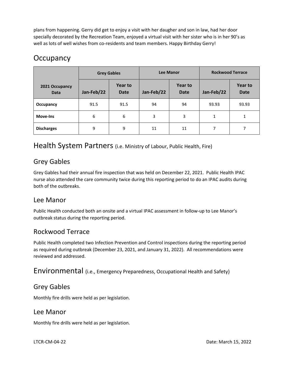plans from happening. Gerry did get to enjoy a visit with her daugher and son in law, had her door specially decorated by the Recreation Team, enjoyed a virtual visit with her sister who is in her 90's as well as lots of well wishes from co-residents and team members. Happy Birthday Gerry!

### **Occupancy**

|                               | <b>Grey Gables</b> |                        | <b>Lee Manor</b> |                               | <b>Rockwood Terrace</b> |                        |
|-------------------------------|--------------------|------------------------|------------------|-------------------------------|-------------------------|------------------------|
| 2021 Occupancy<br><b>Data</b> | Jan-Feb/22         | Year to<br><b>Date</b> | Jan-Feb/22       | <b>Year to</b><br><b>Date</b> | Jan-Feb/22              | Year to<br><b>Date</b> |
| Occupancy                     | 91.5               | 91.5                   | 94               | 94                            | 93.93                   | 93.93                  |
| Move-Ins                      | 6                  | 6                      | 3                | 3                             | 1                       |                        |
| <b>Discharges</b>             | 9                  | 9                      | 11               | 11                            | 7                       |                        |

#### Health System Partners (i.e. Ministry of Labour, Public Health, Fire)

#### Grey Gables

Grey Gables had their annual fire inspection that was held on December 22, 2021. Public Health IPAC nurse also attended the care community twice during this reporting period to do an IPAC audits during both of the outbreaks.

#### Lee Manor

Public Health conducted both an onsite and a virtual IPAC assessment in follow-up to Lee Manor's outbreak status during the reporting period.

#### Rockwood Terrace

Public Health completed two Infection Prevention and Control inspections during the reporting period as required during outbreak (December 23, 2021, and January 31, 2022). All recommendations were reviewed and addressed.

Environmental (i.e., Emergency Preparedness, Occupational Health and Safety)

#### Grey Gables

Monthly fire drills were held as per legislation.

#### Lee Manor

Monthly fire drills were held as per legislation.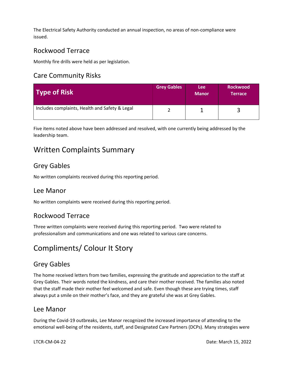The Electrical Safety Authority conducted an annual inspection, no areas of non-compliance were issued.

#### Rockwood Terrace

Monthly fire drills were held as per legislation.

#### Care Community Risks

| Type of Risk                                   | <b>Grey Gables</b> | Lee:<br><b>Manor</b> | <b>Rockwood</b><br>Terrace |
|------------------------------------------------|--------------------|----------------------|----------------------------|
| Includes complaints, Health and Safety & Legal |                    |                      |                            |

Five items noted above have been addressed and resolved, with one currently being addressed by the leadership team.

# Written Complaints Summary

#### Grey Gables

No written complaints received during this reporting period.

#### Lee Manor

No written complaints were received during this reporting period.

#### Rockwood Terrace

Three written complaints were received during this reporting period. Two were related to professionalism and communications and one was related to various care concerns.

## Compliments/ Colour It Story

#### Grey Gables

The home received letters from two families, expressing the gratitude and appreciation to the staff at Grey Gables. Their words noted the kindness, and care their mother received. The families also noted that the staff made their mother feel welcomed and safe. Even though these are trying times, staff always put a smile on their mother's face, and they are grateful she was at Grey Gables.

#### Lee Manor

During the Covid-19 outbreaks, Lee Manor recognized the increased importance of attending to the emotional well-being of the residents, staff, and Designated Care Partners (DCPs). Many strategies were